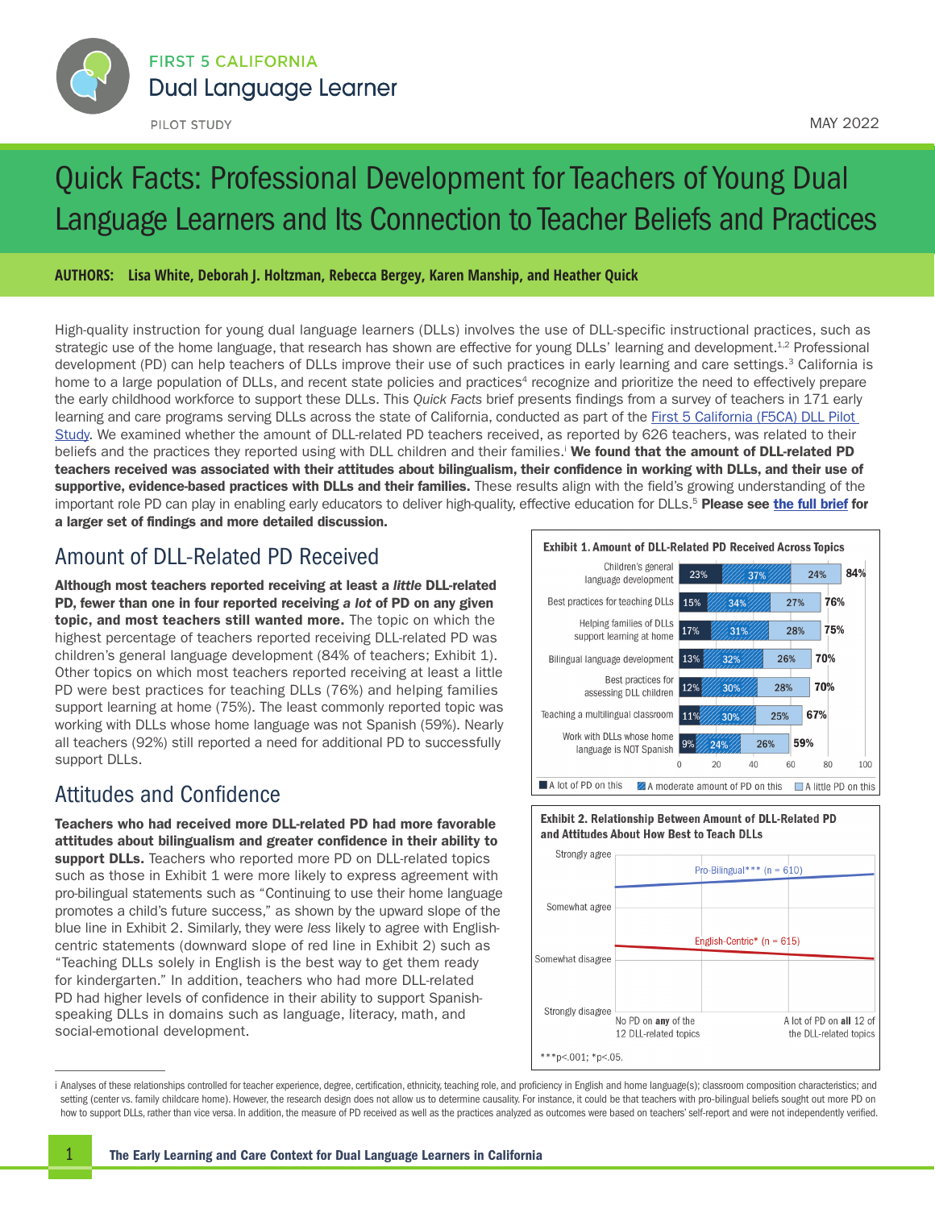<span id="page-0-0"></span>

# Quick Facts: Professional Development for Teachers of Young Dual Language Learners and Its Connection to Teacher Beliefs and Practices

**AUTHORS: Lisa White, Deborah J. Holtzman, Rebecca Bergey, Karen Manship, and Heather Quick** 

High-quality instruction for young dual language learners (DLLs) involves the use of DLL-specific instructional practices, such as strategic use of the home language, that research has shown are effective for young DLLs' learning and development.<sup>1,2</sup> Professional development (PD) can help teachers of DLLs improve their use of such practices in early learning and care settings.<sup>3</sup> California is home to a large population of DLLs, and recent state policies and practices<sup>4</sup> recognize and prioritize the need to effectively prepare the early childhood workforce to support these DLLs. This *Quick Facts* brief presents findings from a survey of teachers in 171 early learning and care programs serving DLLs across the state of California, conducted as part of the First 5 California (F5CA) DLL Pilot [Study](https://californiadllstudy.org/). We examined whether the amount of DLL-related PD teachers received, as reported by 626 teachers, was related to their beliefs and the practices they reported using with DLL children and their families. We found that the amount of DLL-related PD teachers received was associated with their attitudes about bilingualism, their confidence in working with DLLs, and their use of supportive, evidence-based practices with DLLs and their families. These results align with the field's growing understanding of the important role PD can play in enabling early educators to deliver high-quality, effective education for DLLs.<sup>[5](#page-1-0)</sup> Please see [the full brief](https://nam10.safelinks.protection.outlook.com/?url=https%3A%2F%2Fcaliforniadllstudy.org%2Freports&data=05%7C01%7Clrowe%40air.org%7C34df352199c74ed99d4508da34e7c95d%7C9ea45dbc7b724abfa77cc770a0a8b962%7C0%7C0%7C637880467366915725%7CUnknown%7CTWFpbGZsb3d8eyJWIjoiMC4wLjAwMDAiLCJQIjoiV2luMzIiLCJBTiI6Ik1haWwiLCJXVCI6Mn0%3D%7C3000%7C%7C%7C&sdata=0p2z7FlZmhOyZlMxMmep9kiT7twaViVZG1USer1H%2Bbo%3D&reserved=0) for a larger set of findings and more detailed discussion.

#### Amount of DLL-Related PD Received

Although most teachers reported receiving at least a *little* DLL-related PD, fewer than one in four reported receiving *a lot* of PD on any given topic, and most teachers still wanted more. The topic on which the highest percentage of teachers reported receiving DLL-related PD was children's general language development (84% of teachers; Exhibit 1). Other topics on which most teachers reported receiving at least a little PD were best practices for teaching DLLs (76%) and helping families support learning at home (75%). The least commonly reported topic was working with DLLs whose home language was not Spanish (59%). Nearly all teachers (92%) still reported a need for additional PD to successfully support DLLs.

#### Attitudes and Confidence

Teachers who had received more DLL-related PD had more favorable attitudes about bilingualism and greater confidence in their ability to support DLLs. Teachers who reported more PD on DLL-related topics such as those in Exhibit 1 were more likely to express agreement with pro-bilingual statements such as "Continuing to use their home language promotes a child's future success," as shown by the upward slope of the blue line in Exhibit 2. Similarly, they were *less* likely to agree with Englishcentric statements (downward slope of red line in Exhibit 2) such as "Teaching DLLs solely in English is the best way to get them ready for kindergarten." In addition, teachers who had more DLL-related PD had higher levels of confidence in their ability to support Spanishspeaking DLLs in domains such as language, literacy, math, and social-emotional development.







i Analyses of these relationships controlled for teacher experience, degree, certification, ethnicity, teaching role, and proficiency in English and home language(s); classroom composition characteristics; and setting (center vs. family childcare home). However, the research design does not allow us to determine causality. For instance, it could be that teachers with pro-bilingual beliefs sought out more PD on how to support DLLs, rather than vice versa. In addition, the measure of PD received as well as the practices analyzed as outcomes were based on teachers' self-report and were not independently verified.